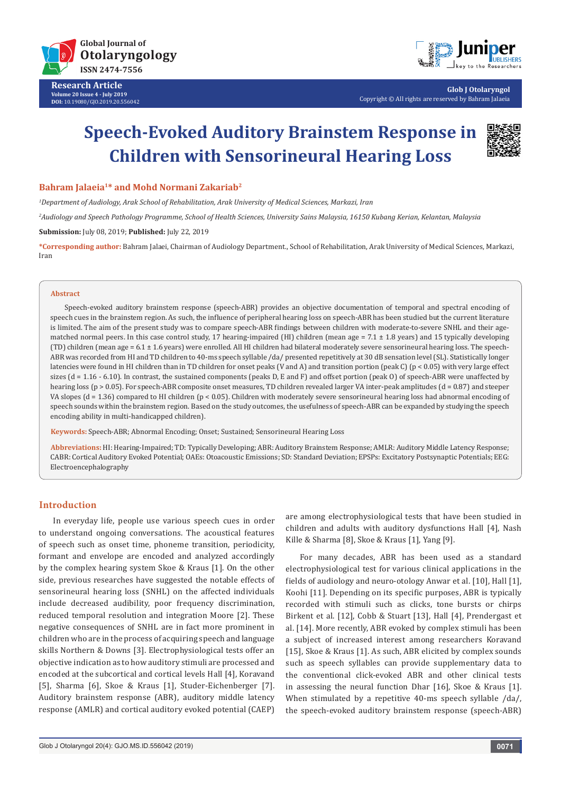

**Research Article Volume 20 Issue 4 - July 2019 DOI:** [10.19080/GJO.2019.20.556042](http://dx.doi.org/10.19080/GJO.2019.20.556042)



**Glob J Otolaryngol** Copyright © All rights are reserved by Bahram Jalaeia

# **Speech-Evoked Auditory Brainstem Response in Children with Sensorineural Hearing Loss**



**Bahram Jalaeia1\* and Mohd Normani Zakariab2**

*1 Department of Audiology, Arak School of Rehabilitation, Arak University of Medical Sciences, Markazi, Iran*

*2 Audiology and Speech Pathology Programme, School of Health Sciences, University Sains Malaysia, 16150 Kubang Kerian, Kelantan, Malaysia*

**Submission:** July 08, 2019; **Published:** July 22, 2019

**\*Corresponding author:** Bahram Jalaei, Chairman of Audiology Department., School of Rehabilitation, Arak University of Medical Sciences, Markazi, Iran

#### **Abstract**

Speech-evoked auditory brainstem response (speech-ABR) provides an objective documentation of temporal and spectral encoding of speech cues in the brainstem region. As such, the influence of peripheral hearing loss on speech-ABR has been studied but the current literature is limited. The aim of the present study was to compare speech-ABR findings between children with moderate-to-severe SNHL and their agematched normal peers. In this case control study, 17 hearing-impaired (HI) children (mean age  $= 7.1 \pm 1.8$  years) and 15 typically developing (TD) children (mean age =  $6.1 \pm 1.6$  years) were enrolled. All HI children had bilateral moderately severe sensorineural hearing loss. The speech-ABR was recorded from HI and TD children to 40-ms speech syllable /da/ presented repetitively at 30 dB sensation level (SL). Statistically longer latencies were found in HI children than in TD children for onset peaks (V and A) and transition portion (peak C) (p < 0.05) with very large effect sizes ( $d = 1.16 - 6.10$ ). In contrast, the sustained components (peaks D, E and F) and offset portion (peak O) of speech-ABR were unaffected by hearing loss (p > 0.05). For speech-ABR composite onset measures, TD children revealed larger VA inter-peak amplitudes (d = 0.87) and steeper VA slopes (d = 1.36) compared to HI children (p < 0.05). Children with moderately severe sensorineural hearing loss had abnormal encoding of speech sounds within the brainstem region. Based on the study outcomes, the usefulness of speech-ABR can be expanded by studying the speech encoding ability in multi-handicapped children).

**Keywords:** Speech-ABR; Abnormal Encoding; Onset; Sustained; Sensorineural Hearing Loss

**Abbreviations:** HI: Hearing-Impaired; TD: Typically Developing; ABR: Auditory Brainstem Response; AMLR: Auditory Middle Latency Response; CABR: Cortical Auditory Evoked Potential; OAEs: Otoacoustic Emissions; SD: Standard Deviation; EPSPs: Excitatory Postsynaptic Potentials; EEG: Electroencephalography

# **Introduction**

In everyday life, people use various speech cues in order to understand ongoing conversations. The acoustical features of speech such as onset time, phoneme transition, periodicity, formant and envelope are encoded and analyzed accordingly by the complex hearing system Skoe & Kraus [1]. On the other side, previous researches have suggested the notable effects of sensorineural hearing loss (SNHL) on the affected individuals include decreased audibility, poor frequency discrimination, reduced temporal resolution and integration Moore [2]. These negative consequences of SNHL are in fact more prominent in children who are in the process of acquiring speech and language skills Northern & Downs [3]. Electrophysiological tests offer an objective indication as to how auditory stimuli are processed and encoded at the subcortical and cortical levels Hall [4], Koravand [5], Sharma [6], Skoe & Kraus [1], Studer-Eichenberger [7]. Auditory brainstem response (ABR), auditory middle latency response (AMLR) and cortical auditory evoked potential (CAEP)

are among electrophysiological tests that have been studied in children and adults with auditory dysfunctions Hall [4], Nash Kille & Sharma [8], Skoe & Kraus [1], Yang [9].

For many decades, ABR has been used as a standard electrophysiological test for various clinical applications in the fields of audiology and neuro-otology Anwar et al. [10], Hall [1], Koohi [11]. Depending on its specific purposes, ABR is typically recorded with stimuli such as clicks, tone bursts or chirps Birkent et al. [12], Cobb & Stuart [13], Hall [4], Prendergast et al. [14]. More recently, ABR evoked by complex stimuli has been a subject of increased interest among researchers Koravand [15], Skoe & Kraus [1]. As such, ABR elicited by complex sounds such as speech syllables can provide supplementary data to the conventional click-evoked ABR and other clinical tests in assessing the neural function Dhar [16], Skoe & Kraus [1]. When stimulated by a repetitive 40-ms speech syllable /da/, the speech-evoked auditory brainstem response (speech-ABR)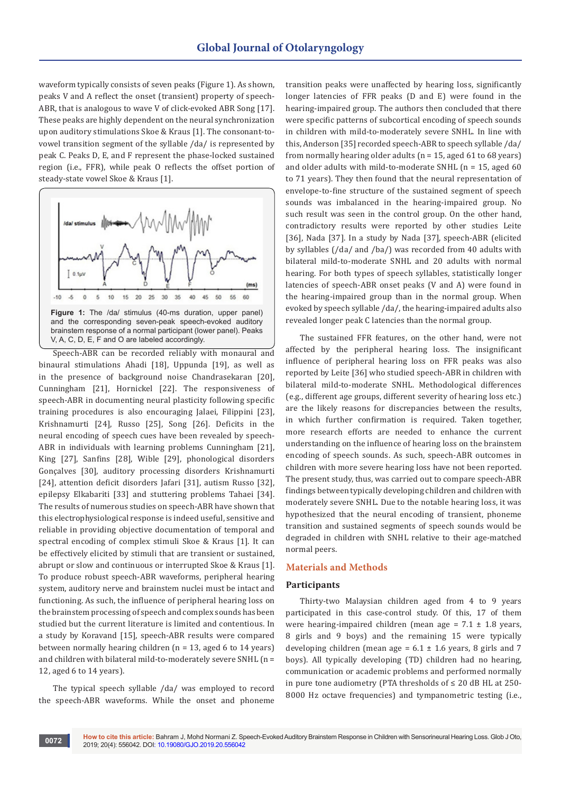waveform typically consists of seven peaks (Figure 1). As shown, peaks V and A reflect the onset (transient) property of speech-ABR, that is analogous to wave V of click-evoked ABR Song [17]. These peaks are highly dependent on the neural synchronization upon auditory stimulations Skoe & Kraus [1]. The consonant-tovowel transition segment of the syllable /da/ is represented by peak C. Peaks D, E, and F represent the phase-locked sustained region (i.e., FFR), while peak O reflects the offset portion of steady-state vowel Skoe & Kraus [1].



Speech-ABR can be recorded reliably with monaural and binaural stimulations Ahadi [18], Uppunda [19], as well as in the presence of background noise Chandrasekaran [20], Cunningham [21], Hornickel [22]. The responsiveness of speech-ABR in documenting neural plasticity following specific training procedures is also encouraging Jalaei, Filippini [23], Krishnamurti [24], Russo [25], Song [26]. Deficits in the neural encoding of speech cues have been revealed by speech-ABR in individuals with learning problems Cunningham [21], King [27], Sanfins [28], Wible [29], phonological disorders Gonçalves [30], auditory processing disorders Krishnamurti [24], attention deficit disorders Jafari [31], autism Russo [32], epilepsy Elkabariti [33] and stuttering problems Tahaei [34]. The results of numerous studies on speech-ABR have shown that this electrophysiological response is indeed useful, sensitive and reliable in providing objective documentation of temporal and spectral encoding of complex stimuli Skoe & Kraus [1]. It can be effectively elicited by stimuli that are transient or sustained, abrupt or slow and continuous or interrupted Skoe & Kraus [1]. To produce robust speech-ABR waveforms, peripheral hearing system, auditory nerve and brainstem nuclei must be intact and functioning. As such, the influence of peripheral hearing loss on the brainstem processing of speech and complex sounds has been studied but the current literature is limited and contentious. In a study by Koravand [15], speech-ABR results were compared between normally hearing children  $(n = 13, \text{ aged } 6 \text{ to } 14 \text{ years})$ and children with bilateral mild-to-moderately severe SNHL (n = 12, aged 6 to 14 years).

The typical speech syllable /da/ was employed to record the speech-ABR waveforms. While the onset and phoneme transition peaks were unaffected by hearing loss, significantly longer latencies of FFR peaks (D and E) were found in the hearing-impaired group. The authors then concluded that there were specific patterns of subcortical encoding of speech sounds in children with mild-to-moderately severe SNHL. In line with this, Anderson [35] recorded speech-ABR to speech syllable /da/ from normally hearing older adults ( $n = 15$ , aged 61 to 68 years) and older adults with mild-to-moderate SNHL  $(n = 15, a$  ged 60 to 71 years). They then found that the neural representation of envelope-to-fine structure of the sustained segment of speech sounds was imbalanced in the hearing-impaired group. No such result was seen in the control group. On the other hand, contradictory results were reported by other studies Leite [36], Nada [37]. In a study by Nada [37], speech-ABR (elicited by syllables (/da/ and /ba/) was recorded from 40 adults with bilateral mild-to-moderate SNHL and 20 adults with normal hearing. For both types of speech syllables, statistically longer latencies of speech-ABR onset peaks (V and A) were found in the hearing-impaired group than in the normal group. When evoked by speech syllable /da/, the hearing-impaired adults also revealed longer peak C latencies than the normal group.

The sustained FFR features, on the other hand, were not affected by the peripheral hearing loss. The insignificant influence of peripheral hearing loss on FFR peaks was also reported by Leite [36] who studied speech-ABR in children with bilateral mild-to-moderate SNHL. Methodological differences (e.g., different age groups, different severity of hearing loss etc.) are the likely reasons for discrepancies between the results, in which further confirmation is required. Taken together, more research efforts are needed to enhance the current understanding on the influence of hearing loss on the brainstem encoding of speech sounds. As such, speech-ABR outcomes in children with more severe hearing loss have not been reported. The present study, thus, was carried out to compare speech-ABR findings between typically developing children and children with moderately severe SNHL. Due to the notable hearing loss, it was hypothesized that the neural encoding of transient, phoneme transition and sustained segments of speech sounds would be degraded in children with SNHL relative to their age-matched normal peers.

# **Materials and Methods**

# **Participants**

Thirty-two Malaysian children aged from 4 to 9 years participated in this case-control study. Of this, 17 of them were hearing-impaired children (mean age =  $7.1 \pm 1.8$  years, 8 girls and 9 boys) and the remaining 15 were typically developing children (mean age =  $6.1 \pm 1.6$  years, 8 girls and 7 boys). All typically developing (TD) children had no hearing, communication or academic problems and performed normally in pure tone audiometry (PTA thresholds of ≤ 20 dB HL at 250- 8000 Hz octave frequencies) and tympanometric testing (i.e.,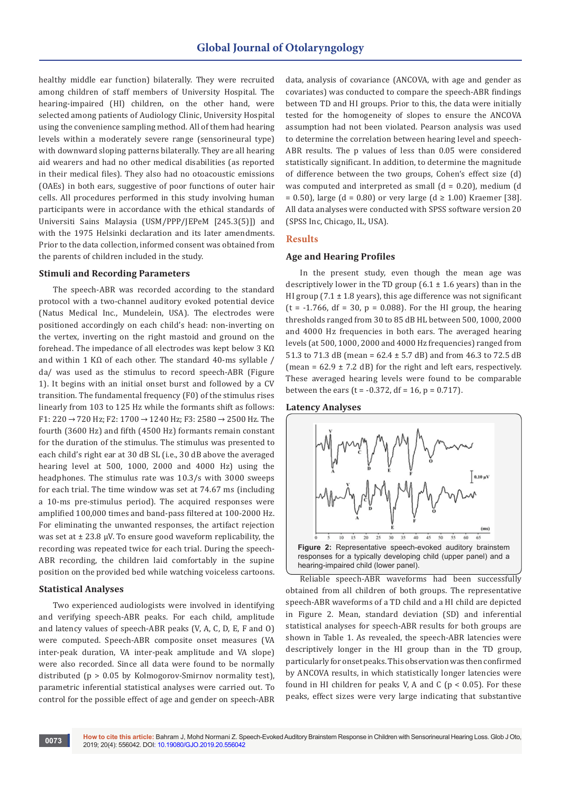healthy middle ear function) bilaterally. They were recruited among children of staff members of University Hospital. The hearing-impaired (HI) children, on the other hand, were selected among patients of Audiology Clinic, University Hospital using the convenience sampling method. All of them had hearing levels within a moderately severe range (sensorineural type) with downward sloping patterns bilaterally. They are all hearing aid wearers and had no other medical disabilities (as reported in their medical files). They also had no otoacoustic emissions (OAEs) in both ears, suggestive of poor functions of outer hair cells. All procedures performed in this study involving human participants were in accordance with the ethical standards of Universiti Sains Malaysia (USM/PPP/JEPeM [245.3(5)]) and with the 1975 Helsinki declaration and its later amendments. Prior to the data collection, informed consent was obtained from the parents of children included in the study.

#### **Stimuli and Recording Parameters**

The speech-ABR was recorded according to the standard protocol with a two-channel auditory evoked potential device (Natus Medical Inc., Mundelein, USA). The electrodes were positioned accordingly on each child's head: non-inverting on the vertex, inverting on the right mastoid and ground on the forehead. The impedance of all electrodes was kept below 3 KΩ and within 1 KΩ of each other. The standard 40-ms syllable / da/ was used as the stimulus to record speech-ABR (Figure 1). It begins with an initial onset burst and followed by a CV transition. The fundamental frequency (F0) of the stimulus rises linearly from 103 to 125 Hz while the formants shift as follows: F1: 220 → 720 Hz; F2: 1700 → 1240 Hz; F3: 2580 → 2500 Hz. The fourth (3600 Hz) and fifth (4500 Hz) formants remain constant for the duration of the stimulus. The stimulus was presented to each child's right ear at 30 dB SL (i.e., 30 dB above the averaged hearing level at 500, 1000, 2000 and 4000 Hz) using the headphones. The stimulus rate was 10.3/s with 3000 sweeps for each trial. The time window was set at 74.67 ms (including a 10-ms pre-stimulus period). The acquired responses were amplified 100,000 times and band-pass filtered at 100-2000 Hz. For eliminating the unwanted responses, the artifact rejection was set at  $\pm$  23.8 µV. To ensure good waveform replicability, the recording was repeated twice for each trial. During the speech-ABR recording, the children laid comfortably in the supine position on the provided bed while watching voiceless cartoons.

# **Statistical Analyses**

Two experienced audiologists were involved in identifying and verifying speech-ABR peaks. For each child, amplitude and latency values of speech-ABR peaks (V, A, C, D, E, F and O) were computed. Speech-ABR composite onset measures (VA inter-peak duration, VA inter-peak amplitude and VA slope) were also recorded. Since all data were found to be normally distributed (p > 0.05 by Kolmogorov-Smirnov normality test), parametric inferential statistical analyses were carried out. To control for the possible effect of age and gender on speech-ABR

data, analysis of covariance (ANCOVA, with age and gender as covariates) was conducted to compare the speech-ABR findings between TD and HI groups. Prior to this, the data were initially tested for the homogeneity of slopes to ensure the ANCOVA assumption had not been violated. Pearson analysis was used to determine the correlation between hearing level and speech-ABR results. The p values of less than 0.05 were considered statistically significant. In addition, to determine the magnitude of difference between the two groups, Cohen's effect size (d) was computed and interpreted as small  $(d = 0.20)$ , medium  $(d = 0.20)$ = 0.50), large (d = 0.80) or very large (d ≥ 1.00) Kraemer [38]. All data analyses were conducted with SPSS software version 20 (SPSS Inc, Chicago, IL, USA).

# **Results**

#### **Age and Hearing Profiles**

In the present study, even though the mean age was descriptively lower in the TD group  $(6.1 \pm 1.6 \text{ years})$  than in the HI group (7.1  $\pm$  1.8 years), this age difference was not significant  $(t = -1.766, df = 30, p = 0.088)$ . For the HI group, the hearing thresholds ranged from 30 to 85 dB HL between 500, 1000, 2000 and 4000 Hz frequencies in both ears. The averaged hearing levels (at 500, 1000, 2000 and 4000 Hz frequencies) ranged from 51.3 to 71.3 dB (mean = 62.4 ± 5.7 dB) and from 46.3 to 72.5 dB (mean =  $62.9 \pm 7.2$  dB) for the right and left ears, respectively. These averaged hearing levels were found to be comparable between the ears (t =  $-0.372$ , df = 16, p = 0.717).





Reliable speech-ABR waveforms had been successfully obtained from all children of both groups. The representative speech-ABR waveforms of a TD child and a HI child are depicted in Figure 2. Mean, standard deviation (SD) and inferential statistical analyses for speech-ABR results for both groups are shown in Table 1. As revealed, the speech-ABR latencies were descriptively longer in the HI group than in the TD group, particularly for onset peaks. This observation was then confirmed by ANCOVA results, in which statistically longer latencies were found in HI children for peaks V, A and C ( $p < 0.05$ ). For these peaks, effect sizes were very large indicating that substantive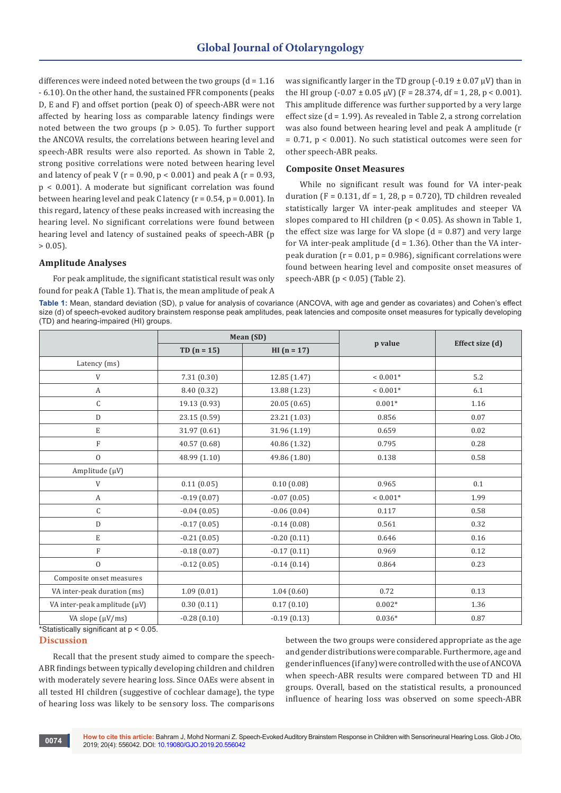differences were indeed noted between the two groups  $(d = 1.16$ - 6.10). On the other hand, the sustained FFR components (peaks D, E and F) and offset portion (peak O) of speech-ABR were not affected by hearing loss as comparable latency findings were noted between the two groups (p > 0.05). To further support the ANCOVA results, the correlations between hearing level and speech-ABR results were also reported. As shown in Table 2, strong positive correlations were noted between hearing level and latency of peak V ( $r = 0.90$ ,  $p < 0.001$ ) and peak A ( $r = 0.93$ , p < 0.001). A moderate but significant correlation was found between hearing level and peak C latency  $(r = 0.54, p = 0.001)$ . In this regard, latency of these peaks increased with increasing the hearing level. No significant correlations were found between hearing level and latency of sustained peaks of speech-ABR (p  $> 0.05$ ).

### **Amplitude Analyses**

For peak amplitude, the significant statistical result was only found for peak A (Table 1). That is, the mean amplitude of peak A was significantly larger in the TD group (-0.19  $\pm$  0.07  $\mu$ V) than in the HI group  $(-0.07 \pm 0.05 \,\mu\text{V})$  (F = 28.374, df = 1, 28, p < 0.001). This amplitude difference was further supported by a very large effect size (d = 1.99). As revealed in Table 2, a strong correlation was also found between hearing level and peak A amplitude (r = 0.71, p < 0.001). No such statistical outcomes were seen for other speech-ABR peaks.

# **Composite Onset Measures**

While no significant result was found for VA inter-peak duration (F =  $0.131$ , df = 1, 28, p =  $0.720$ ), TD children revealed statistically larger VA inter-peak amplitudes and steeper VA slopes compared to HI children (p < 0.05). As shown in Table 1, the effect size was large for VA slope  $(d = 0.87)$  and very large for VA inter-peak amplitude  $(d = 1.36)$ . Other than the VA interpeak duration ( $r = 0.01$ ,  $p = 0.986$ ), significant correlations were found between hearing level and composite onset measures of speech-ABR (p < 0.05) (Table 2).

**Table 1:** Mean, standard deviation (SD), p value for analysis of covariance (ANCOVA, with age and gender as covariates) and Cohen's effect size (d) of speech-evoked auditory brainstem response peak amplitudes, peak latencies and composite onset measures for typically developing (TD) and hearing-impaired (HI) groups.

|                              | Mean (SD)     |               |            |                 |
|------------------------------|---------------|---------------|------------|-----------------|
|                              | TD $(n = 15)$ | $HI (n = 17)$ | p value    | Effect size (d) |
| Latency (ms)                 |               |               |            |                 |
| V                            | 7.31(0.30)    | 12.85 (1.47)  | $< 0.001*$ | 5.2             |
| A                            | 8.40 (0.32)   | 13.88 (1.23)  | $< 0.001*$ | 6.1             |
| C                            | 19.13 (0.93)  | 20.05(0.65)   | $0.001*$   | 1.16            |
| D                            | 23.15 (0.59)  | 23.21 (1.03)  | 0.856      | 0.07            |
| $\mathbf E$                  | 31.97 (0.61)  | 31.96 (1.19)  | 0.659      | 0.02            |
| $\mathbf F$                  | 40.57 (0.68)  | 40.86 (1.32)  | 0.795      | 0.28            |
| $\boldsymbol{0}$             | 48.99 (1.10)  | 49.86 (1.80)  | 0.138      | 0.58            |
| Amplitude $(\mu V)$          |               |               |            |                 |
| V                            | 0.11(0.05)    | 0.10(0.08)    | 0.965      | 0.1             |
| A                            | $-0.19(0.07)$ | $-0.07(0.05)$ | $< 0.001*$ | 1.99            |
| $\mathsf C$                  | $-0.04(0.05)$ | $-0.06(0.04)$ | 0.117      | 0.58            |
| D                            | $-0.17(0.05)$ | $-0.14(0.08)$ | 0.561      | 0.32            |
| $\mathbf E$                  | $-0.21(0.05)$ | $-0.20(0.11)$ | 0.646      | 0.16            |
| $\mathbf F$                  | $-0.18(0.07)$ | $-0.17(0.11)$ | 0.969      | 0.12            |
| $\mathbf{0}$                 | $-0.12(0.05)$ | $-0.14(0.14)$ | 0.864      | 0.23            |
| Composite onset measures     |               |               |            |                 |
| VA inter-peak duration (ms)  | 1.09(0.01)    | 1.04(0.60)    | 0.72       | 0.13            |
| VA inter-peak amplitude (µV) | 0.30(0.11)    | 0.17(0.10)    | $0.002*$   | 1.36            |
| VA slope (µV/ms)             | $-0.28(0.10)$ | $-0.19(0.13)$ | $0.036*$   | 0.87            |

\*Statistically significant at p < 0.05.

# **Discussion**

Recall that the present study aimed to compare the speech-ABR findings between typically developing children and children with moderately severe hearing loss. Since OAEs were absent in all tested HI children (suggestive of cochlear damage), the type of hearing loss was likely to be sensory loss. The comparisons

between the two groups were considered appropriate as the age and gender distributions were comparable. Furthermore, age and gender influences (if any) were controlled with the use of ANCOVA when speech-ABR results were compared between TD and HI groups. Overall, based on the statistical results, a pronounced influence of hearing loss was observed on some speech-ABR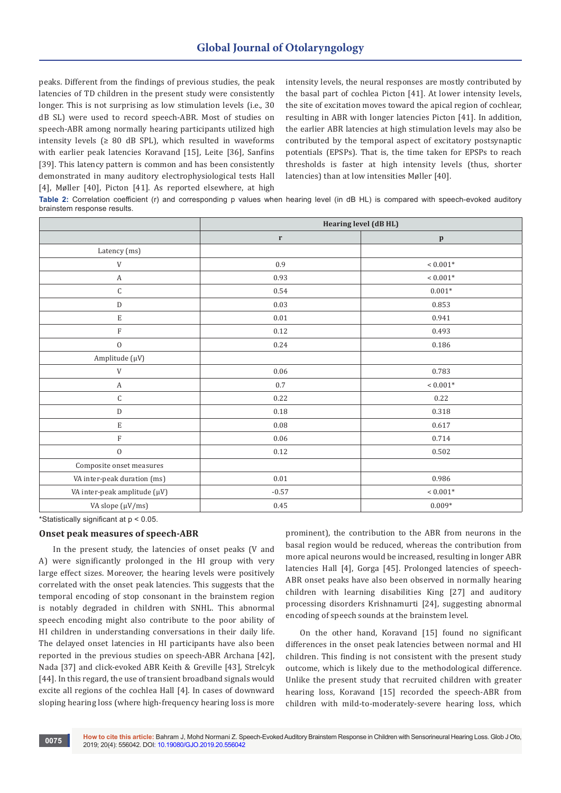peaks. Different from the findings of previous studies, the peak latencies of TD children in the present study were consistently longer. This is not surprising as low stimulation levels (i.e., 30 dB SL) were used to record speech-ABR. Most of studies on speech-ABR among normally hearing participants utilized high intensity levels ( $\geq 80$  dB SPL), which resulted in waveforms with earlier peak latencies Koravand [15], Leite [36], Sanfins [39]. This latency pattern is common and has been consistently demonstrated in many auditory electrophysiological tests Hall [4], Møller [40], Picton [41]. As reported elsewhere, at high

intensity levels, the neural responses are mostly contributed by the basal part of cochlea Picton [41]. At lower intensity levels, the site of excitation moves toward the apical region of cochlear, resulting in ABR with longer latencies Picton [41]. In addition, the earlier ABR latencies at high stimulation levels may also be contributed by the temporal aspect of excitatory postsynaptic potentials (EPSPs). That is, the time taken for EPSPs to reach thresholds is faster at high intensity levels (thus, shorter latencies) than at low intensities Møller [40].

**Table 2:** Correlation coefficient (r) and corresponding p values when hearing level (in dB HL) is compared with speech-evoked auditory brainstem response results.

|                              | Hearing level (dB HL) |                     |  |
|------------------------------|-----------------------|---------------------|--|
|                              | $\mathbf r$           | $\, {\bf p}$        |  |
| Latency (ms)                 |                       |                     |  |
| $\ensuremath{\mathsf{V}}$    | 0.9                   | $< 0.001^{\ast}$    |  |
| A                            | 0.93                  | $< 0.001^{\ast}$    |  |
| $\mathsf C$                  | 0.54                  | $0.001*$            |  |
| ${\rm D}$                    | 0.03                  | 0.853               |  |
| $\mathbf E$                  | 0.01                  | 0.941               |  |
| $\mathbf F$                  | 0.12                  | 0.493               |  |
| $\mathbf 0$                  | 0.24                  | 0.186               |  |
| Amplitude (µV)               |                       |                     |  |
| $\ensuremath{\mathsf{V}}$    | 0.06                  | 0.783               |  |
| $\boldsymbol{A}$             | 0.7                   | ${}< 0.001*$        |  |
| $\mathsf C$                  | 0.22                  | 0.22                |  |
| ${\rm D}$                    | $0.18\,$              | 0.318               |  |
| $\mathbf E$                  | $0.08\,$              | 0.617               |  |
| $\mathbf F$                  | 0.06                  | 0.714               |  |
| $\boldsymbol{0}$             | 0.12                  | 0.502               |  |
| Composite onset measures     |                       |                     |  |
| VA inter-peak duration (ms)  | $0.01\,$              | 0.986               |  |
| VA inter-peak amplitude (µV) | $-0.57$               | $< 0.001\mathrm{*}$ |  |
| VA slope (µV/ms)             | 0.45                  | $0.009*$            |  |

\*Statistically significant at p < 0.05.

# **Onset peak measures of speech-ABR**

In the present study, the latencies of onset peaks (V and A) were significantly prolonged in the HI group with very large effect sizes. Moreover, the hearing levels were positively correlated with the onset peak latencies. This suggests that the temporal encoding of stop consonant in the brainstem region is notably degraded in children with SNHL. This abnormal speech encoding might also contribute to the poor ability of HI children in understanding conversations in their daily life. The delayed onset latencies in HI participants have also been reported in the previous studies on speech-ABR Archana [42], Nada [37] and click-evoked ABR Keith & Greville [43], Strelcyk [44]. In this regard, the use of transient broadband signals would excite all regions of the cochlea Hall [4]. In cases of downward sloping hearing loss (where high-frequency hearing loss is more

prominent), the contribution to the ABR from neurons in the basal region would be reduced, whereas the contribution from more apical neurons would be increased, resulting in longer ABR latencies Hall [4], Gorga [45]. Prolonged latencies of speech-ABR onset peaks have also been observed in normally hearing children with learning disabilities King [27] and auditory processing disorders Krishnamurti [24], suggesting abnormal encoding of speech sounds at the brainstem level.

On the other hand, Koravand [15] found no significant differences in the onset peak latencies between normal and HI children. This finding is not consistent with the present study outcome, which is likely due to the methodological difference. Unlike the present study that recruited children with greater hearing loss, Koravand [15] recorded the speech-ABR from children with mild-to-moderately-severe hearing loss, which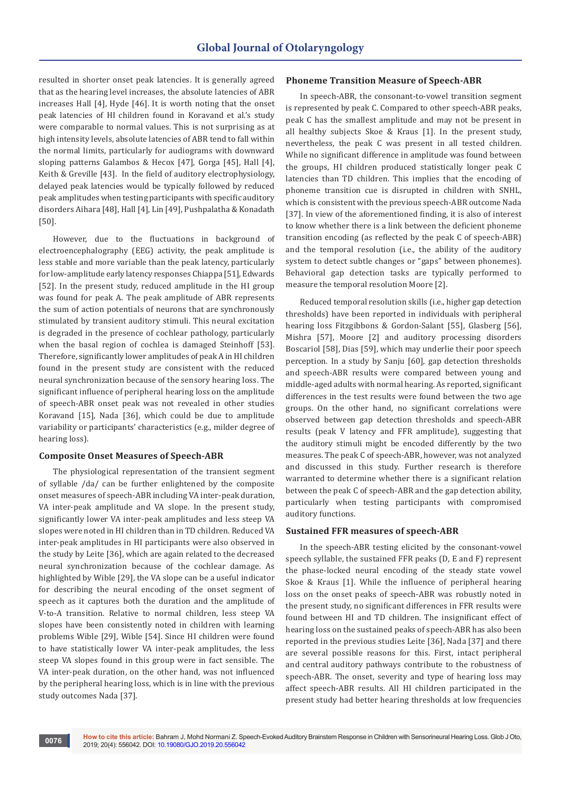resulted in shorter onset peak latencies. It is generally agreed that as the hearing level increases, the absolute latencies of ABR increases Hall [4], Hyde [46]. It is worth noting that the onset peak latencies of HI children found in Koravand et al.'s study were comparable to normal values. This is not surprising as at high intensity levels, absolute latencies of ABR tend to fall within the normal limits, particularly for audiograms with downward sloping patterns Galambos & Hecox [47], Gorga [45], Hall [4], Keith & Greville [43]. In the field of auditory electrophysiology, delayed peak latencies would be typically followed by reduced peak amplitudes when testing participants with specific auditory disorders Aihara [48], Hall [4], Lin [49], Pushpalatha & Konadath [50].

However, due to the fluctuations in background of electroencephalography (EEG) activity, the peak amplitude is less stable and more variable than the peak latency, particularly for low-amplitude early latency responses Chiappa [51], Edwards [52]. In the present study, reduced amplitude in the HI group was found for peak A. The peak amplitude of ABR represents the sum of action potentials of neurons that are synchronously stimulated by transient auditory stimuli. This neural excitation is degraded in the presence of cochlear pathology, particularly when the basal region of cochlea is damaged Steinhoff [53]. Therefore, significantly lower amplitudes of peak A in HI children found in the present study are consistent with the reduced neural synchronization because of the sensory hearing loss. The significant influence of peripheral hearing loss on the amplitude of speech-ABR onset peak was not revealed in other studies Koravand [15], Nada [36], which could be due to amplitude variability or participants' characteristics (e.g., milder degree of hearing loss).

# **Composite Onset Measures of Speech-ABR**

The physiological representation of the transient segment of syllable /da/ can be further enlightened by the composite onset measures of speech-ABR including VA inter-peak duration, VA inter-peak amplitude and VA slope. In the present study, significantly lower VA inter-peak amplitudes and less steep VA slopes were noted in HI children than in TD children. Reduced VA inter-peak amplitudes in HI participants were also observed in the study by Leite [36], which are again related to the decreased neural synchronization because of the cochlear damage. As highlighted by Wible [29], the VA slope can be a useful indicator for describing the neural encoding of the onset segment of speech as it captures both the duration and the amplitude of V-to-A transition. Relative to normal children, less steep VA slopes have been consistently noted in children with learning problems Wible [29], Wible [54]. Since HI children were found to have statistically lower VA inter-peak amplitudes, the less steep VA slopes found in this group were in fact sensible. The VA inter-peak duration, on the other hand, was not influenced by the peripheral hearing loss, which is in line with the previous study outcomes Nada [37].

#### **Phoneme Transition Measure of Speech-ABR**

In speech-ABR, the consonant-to-vowel transition segment is represented by peak C. Compared to other speech-ABR peaks, peak C has the smallest amplitude and may not be present in all healthy subjects Skoe & Kraus [1]. In the present study, nevertheless, the peak C was present in all tested children. While no significant difference in amplitude was found between the groups, HI children produced statistically longer peak C latencies than TD children. This implies that the encoding of phoneme transition cue is disrupted in children with SNHL, which is consistent with the previous speech-ABR outcome Nada [37]. In view of the aforementioned finding, it is also of interest to know whether there is a link between the deficient phoneme transition encoding (as reflected by the peak C of speech-ABR) and the temporal resolution (i.e., the ability of the auditory system to detect subtle changes or "gaps" between phonemes). Behavioral gap detection tasks are typically performed to measure the temporal resolution Moore [2].

Reduced temporal resolution skills (i.e., higher gap detection thresholds) have been reported in individuals with peripheral hearing loss Fitzgibbons & Gordon-Salant [55], Glasberg [56], Mishra [57], Moore [2] and auditory processing disorders Boscariol [58], Dias [59], which may underlie their poor speech perception. In a study by Sanju [60], gap detection thresholds and speech-ABR results were compared between young and middle-aged adults with normal hearing. As reported, significant differences in the test results were found between the two age groups. On the other hand, no significant correlations were observed between gap detection thresholds and speech-ABR results (peak V latency and FFR amplitude), suggesting that the auditory stimuli might be encoded differently by the two measures. The peak C of speech-ABR, however, was not analyzed and discussed in this study. Further research is therefore warranted to determine whether there is a significant relation between the peak C of speech-ABR and the gap detection ability, particularly when testing participants with compromised auditory functions.

# **Sustained FFR measures of speech-ABR**

In the speech-ABR testing elicited by the consonant-vowel speech syllable, the sustained FFR peaks (D, E and F) represent the phase-locked neural encoding of the steady state vowel Skoe & Kraus [1]. While the influence of peripheral hearing loss on the onset peaks of speech-ABR was robustly noted in the present study, no significant differences in FFR results were found between HI and TD children. The insignificant effect of hearing loss on the sustained peaks of speech-ABR has also been reported in the previous studies Leite [36], Nada [37] and there are several possible reasons for this. First, intact peripheral and central auditory pathways contribute to the robustness of speech-ABR. The onset, severity and type of hearing loss may affect speech-ABR results. All HI children participated in the present study had better hearing thresholds at low frequencies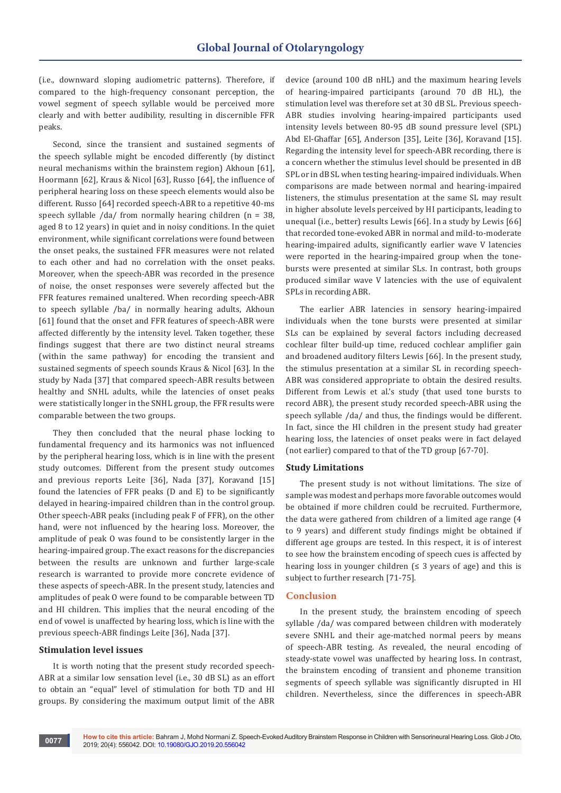(i.e., downward sloping audiometric patterns). Therefore, if compared to the high-frequency consonant perception, the vowel segment of speech syllable would be perceived more clearly and with better audibility, resulting in discernible FFR peaks.

Second, since the transient and sustained segments of the speech syllable might be encoded differently (by distinct neural mechanisms within the brainstem region) Akhoun [61], Hoormann [62], Kraus & Nicol [63], Russo [64], the influence of peripheral hearing loss on these speech elements would also be different. Russo [64] recorded speech-ABR to a repetitive 40-ms speech syllable /da/ from normally hearing children (n = 38, aged 8 to 12 years) in quiet and in noisy conditions. In the quiet environment, while significant correlations were found between the onset peaks, the sustained FFR measures were not related to each other and had no correlation with the onset peaks. Moreover, when the speech-ABR was recorded in the presence of noise, the onset responses were severely affected but the FFR features remained unaltered. When recording speech-ABR to speech syllable /ba/ in normally hearing adults, Akhoun [61] found that the onset and FFR features of speech-ABR were affected differently by the intensity level. Taken together, these findings suggest that there are two distinct neural streams (within the same pathway) for encoding the transient and sustained segments of speech sounds Kraus & Nicol [63]. In the study by Nada [37] that compared speech-ABR results between healthy and SNHL adults, while the latencies of onset peaks were statistically longer in the SNHL group, the FFR results were comparable between the two groups.

They then concluded that the neural phase locking to fundamental frequency and its harmonics was not influenced by the peripheral hearing loss, which is in line with the present study outcomes. Different from the present study outcomes and previous reports Leite [36], Nada [37], Koravand [15] found the latencies of FFR peaks (D and E) to be significantly delayed in hearing-impaired children than in the control group. Other speech-ABR peaks (including peak F of FFR), on the other hand, were not influenced by the hearing loss. Moreover, the amplitude of peak O was found to be consistently larger in the hearing-impaired group. The exact reasons for the discrepancies between the results are unknown and further large-scale research is warranted to provide more concrete evidence of these aspects of speech-ABR. In the present study, latencies and amplitudes of peak O were found to be comparable between TD and HI children. This implies that the neural encoding of the end of vowel is unaffected by hearing loss, which is line with the previous speech-ABR findings Leite [36], Nada [37].

#### **Stimulation level issues**

It is worth noting that the present study recorded speech-ABR at a similar low sensation level (i.e., 30 dB SL) as an effort to obtain an "equal" level of stimulation for both TD and HI groups. By considering the maximum output limit of the ABR

device (around 100 dB nHL) and the maximum hearing levels of hearing-impaired participants (around 70 dB HL), the stimulation level was therefore set at 30 dB SL. Previous speech-ABR studies involving hearing-impaired participants used intensity levels between 80-95 dB sound pressure level (SPL) Abd El-Ghaffar [65], Anderson [35], Leite [36], Koravand [15]. Regarding the intensity level for speech-ABR recording, there is a concern whether the stimulus level should be presented in dB SPL or in dB SL when testing hearing-impaired individuals. When comparisons are made between normal and hearing-impaired listeners, the stimulus presentation at the same SL may result in higher absolute levels perceived by HI participants, leading to unequal (i.e., better) results Lewis [66]. In a study by Lewis [66] that recorded tone-evoked ABR in normal and mild-to-moderate hearing-impaired adults, significantly earlier wave V latencies were reported in the hearing-impaired group when the tonebursts were presented at similar SLs. In contrast, both groups produced similar wave V latencies with the use of equivalent SPLs in recording ABR.

The earlier ABR latencies in sensory hearing-impaired individuals when the tone bursts were presented at similar SLs can be explained by several factors including decreased cochlear filter build-up time, reduced cochlear amplifier gain and broadened auditory filters Lewis [66]. In the present study, the stimulus presentation at a similar SL in recording speech-ABR was considered appropriate to obtain the desired results. Different from Lewis et al.'s study (that used tone bursts to record ABR), the present study recorded speech-ABR using the speech syllable /da/ and thus, the findings would be different. In fact, since the HI children in the present study had greater hearing loss, the latencies of onset peaks were in fact delayed (not earlier) compared to that of the TD group [67-70].

## **Study Limitations**

The present study is not without limitations. The size of sample was modest and perhaps more favorable outcomes would be obtained if more children could be recruited. Furthermore, the data were gathered from children of a limited age range (4 to 9 years) and different study findings might be obtained if different age groups are tested. In this respect, it is of interest to see how the brainstem encoding of speech cues is affected by hearing loss in younger children  $(≤ 3$  years of age) and this is subject to further research [71-75].

#### **Conclusion**

In the present study, the brainstem encoding of speech syllable /da/ was compared between children with moderately severe SNHL and their age-matched normal peers by means of speech-ABR testing. As revealed, the neural encoding of steady-state vowel was unaffected by hearing loss. In contrast, the brainstem encoding of transient and phoneme transition segments of speech syllable was significantly disrupted in HI children. Nevertheless, since the differences in speech-ABR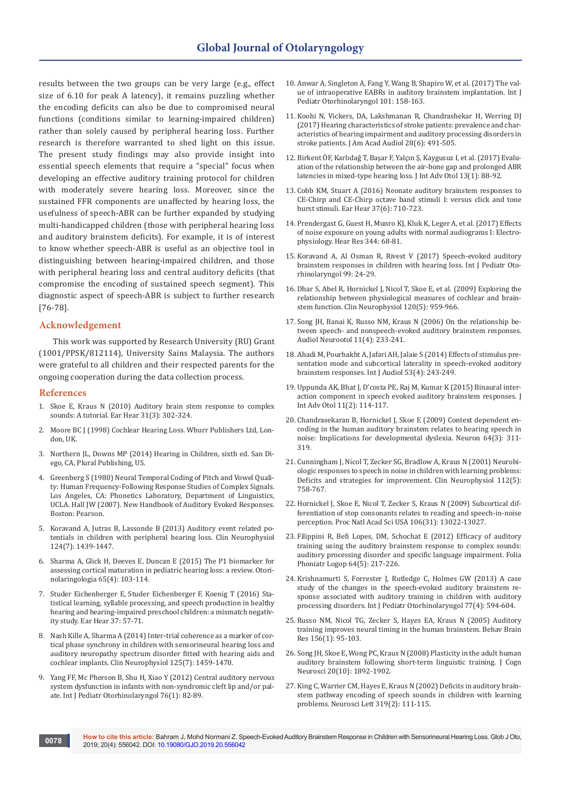results between the two groups can be very large (e.g., effect size of 6.10 for peak A latency), it remains puzzling whether the encoding deficits can also be due to compromised neural functions (conditions similar to learning-impaired children) rather than solely caused by peripheral hearing loss. Further research is therefore warranted to shed light on this issue. The present study findings may also provide insight into essential speech elements that require a "special" focus when developing an effective auditory training protocol for children with moderately severe hearing loss. Moreover, since the sustained FFR components are unaffected by hearing loss, the usefulness of speech-ABR can be further expanded by studying multi-handicapped children (those with peripheral hearing loss and auditory brainstem deficits). For example, it is of interest to know whether speech-ABR is useful as an objective tool in distinguishing between hearing-impaired children, and those with peripheral hearing loss and central auditory deficits (that compromise the encoding of sustained speech segment). This diagnostic aspect of speech-ABR is subject to further research [76-78].

# **Acknowledgement**

This work was supported by Research University (RU) Grant (1001/PPSK/812114), University Sains Malaysia. The authors were grateful to all children and their respected parents for the ongoing cooperation during the data collection process.

# **References**

- 1. [Skoe E, Kraus N \(2010\) Auditory brain stem response to complex](https://www.ncbi.nlm.nih.gov/pubmed/20084007)  [sounds: A tutorial. Ear Hear 31\(3\): 302-324.](https://www.ncbi.nlm.nih.gov/pubmed/20084007)
- 2. Moore BC J (1998) Cochlear Hearing Loss. Whurr Publishers Ltd, London, UK.
- 3. [Northern JL, Downs MP \(2014\) Hearing in Children, sixth ed. San Di](https://psycnet.apa.org/record/2014-09658-000)[ego, CA, Plural Publishing, US.](https://psycnet.apa.org/record/2014-09658-000)
- 4. Greenberg S (1980) Neural Temporal Coding of Pitch and Vowel Quality: Human Frequency-Following Response Studies of Complex Signals. Los Angeles, CA: Phonetics Laboratory, Department of Linguistics, UCLA. Hall JW (2007). New Handbook of Auditory Evoked Responses. Boston: Pearson.
- 5. [Koravand A, Jutras B, Lassonde B \(2013\) Auditory event related po](https://www.ncbi.nlm.nih.gov/pubmed/23485368)[tentials in children with peripheral hearing loss. Clin Neurophysiol](https://www.ncbi.nlm.nih.gov/pubmed/23485368)  [124\(7\): 1439-1447.](https://www.ncbi.nlm.nih.gov/pubmed/23485368)
- 6. [Sharma A, Glick H, Deeves E, Duncan E \(2015\) The P1 biomarker for](https://www.ncbi.nlm.nih.gov/pubmed/27688594)  [assessing cortical maturation in pediatric hearing loss: a review. Otori](https://www.ncbi.nlm.nih.gov/pubmed/27688594)[nolaringologia 65\(4\): 103-114.](https://www.ncbi.nlm.nih.gov/pubmed/27688594)
- 7. [Studer Eichenberger E, Studer Eichenberger F, Koenig T \(2016\) Sta](https://pdfs.semanticscholar.org/72cf/b442e02fdb27580c942f1f8ac43fcc3eecf8.pdf)[tistical learning, syllable processing, and speech production in healthy](https://pdfs.semanticscholar.org/72cf/b442e02fdb27580c942f1f8ac43fcc3eecf8.pdf)  [hearing and hearing-impaired preschool children: a mismatch negativ](https://pdfs.semanticscholar.org/72cf/b442e02fdb27580c942f1f8ac43fcc3eecf8.pdf)[ity study. Ear Hear 37: 57-71.](https://pdfs.semanticscholar.org/72cf/b442e02fdb27580c942f1f8ac43fcc3eecf8.pdf)
- 8. [Nash Kille A, Sharma A \(2014\) Inter-trial coherence as a marker of cor](https://www.ncbi.nlm.nih.gov/pubmed/24360131)[tical phase synchrony in children with sensorineural hearing loss and](https://www.ncbi.nlm.nih.gov/pubmed/24360131)  [auditory neuropathy spectrum disorder fitted with hearing aids and](https://www.ncbi.nlm.nih.gov/pubmed/24360131)  [cochlear implants. Clin Neurophysiol 125\(7\): 1459-1470.](https://www.ncbi.nlm.nih.gov/pubmed/24360131)
- 9. [Yang FF, Mc Pherson B, Shu H, Xiao Y \(2012\) Central auditory nervous](https://www.ncbi.nlm.nih.gov/pubmed/22079239)  [system dysfunction in infants with non-syndromic cleft lip and/or pal](https://www.ncbi.nlm.nih.gov/pubmed/22079239)[ate. Int J Pediatr Otorhinolaryngol 76\(1\): 82-89.](https://www.ncbi.nlm.nih.gov/pubmed/22079239)
- 10. [Anwar A, Singleton A, Fang Y, Wang B, Shapiro W, et al. \(2017\) The val](https://www.ncbi.nlm.nih.gov/pubmed/28964288)[ue of intraoperative EABRs in auditory brainstem implantation. Int J](https://www.ncbi.nlm.nih.gov/pubmed/28964288)  [Pediatr Otorhinolaryngol 101: 158-163.](https://www.ncbi.nlm.nih.gov/pubmed/28964288)
- 11. [Koohi N, Vickers, DA, Lakshmanan R, Chandrashekar H, Werring DJ](https://www.ncbi.nlm.nih.gov/pubmed/28590894)  [\(2017\) Hearing characteristics of stroke patients: prevalence and char](https://www.ncbi.nlm.nih.gov/pubmed/28590894)[acteristics of hearing impairment and auditory processing disorders in](https://www.ncbi.nlm.nih.gov/pubmed/28590894)  [stroke patients. J Am Acad Audiol 28\(6\): 491-505.](https://www.ncbi.nlm.nih.gov/pubmed/28590894)
- 12. [Birkent ÖF, Karlıdağ T, Başar F, Yalçın Ş, Kaygusuz I, et al. \(2017\) Evalu](https://www.ncbi.nlm.nih.gov/pubmed/27819648)[ation of the relationship between the air-bone gap and prolonged ABR](https://www.ncbi.nlm.nih.gov/pubmed/27819648)  [latencies in mixed-type hearing loss. J Int Adv Otol 13\(1\): 88-92.](https://www.ncbi.nlm.nih.gov/pubmed/27819648)
- 13. [Cobb KM, Stuart A \(2016\) Neonate auditory brainstem responses to](https://www.ncbi.nlm.nih.gov/pubmed/27556529)  [CE-Chirp and CE-Chirp octave band stimuli I: versus click and tone](https://www.ncbi.nlm.nih.gov/pubmed/27556529)  [burst stimuli. Ear Hear 37\(6\): 710-723.](https://www.ncbi.nlm.nih.gov/pubmed/27556529)
- 14. [Prendergast G, Guest H, Munro KJ, Kluk K, Leger A, et al. \(2017\) Effects](https://www.ncbi.nlm.nih.gov/pubmed/27816499)  [of noise exposure on young adults with normal audiograms I: Electro](https://www.ncbi.nlm.nih.gov/pubmed/27816499)[physiology. Hear Res 344: 68-81.](https://www.ncbi.nlm.nih.gov/pubmed/27816499)
- 15. [Koravand A, Al Osman R, Rivest V \(2017\) Speech-evoked auditory](https://www.ncbi.nlm.nih.gov/pubmed/28688560)  [brainstem responses in children with hearing loss. Int J Pediatr Oto](https://www.ncbi.nlm.nih.gov/pubmed/28688560)[rhinolaryngol 99: 24-29.](https://www.ncbi.nlm.nih.gov/pubmed/28688560)
- 16. [Dhar S, Abel R, Hornickel J, Nicol T, Skoe E, et al. \(2009\) Exploring the](https://www.ncbi.nlm.nih.gov/pubmed/19346159)  [relationship between physiological measures of cochlear and brain](https://www.ncbi.nlm.nih.gov/pubmed/19346159)[stem function. Clin Neurophysiol 120\(5\): 959-966.](https://www.ncbi.nlm.nih.gov/pubmed/19346159)
- 17. [Song JH, Banai K, Russo NM, Kraus N \(2006\) On the relationship be](https://www.ncbi.nlm.nih.gov/pubmed/16675898)[tween speech- and nonspeech-evoked auditory brainstem responses.](https://www.ncbi.nlm.nih.gov/pubmed/16675898)  [Audiol Neurootol 11\(4\): 233-241.](https://www.ncbi.nlm.nih.gov/pubmed/16675898)
- 18. [Ahadi M, Pourbakht A, Jafari AH, Jalaie S \(2014\) Effects of stimulus pre](https://www.ncbi.nlm.nih.gov/pubmed/24506562)[sentation mode and subcortical laterality in speech-evoked auditory](https://www.ncbi.nlm.nih.gov/pubmed/24506562)  [brainstem responses. Int J Audiol 53\(4\): 243-249.](https://www.ncbi.nlm.nih.gov/pubmed/24506562)
- 19. [Uppunda AK, Bhat J, D'costa PE, Raj M, Kumar K \(2015\) Binaural inter](https://www.ncbi.nlm.nih.gov/pubmed/26380999)[action component in speech evoked auditory brainstem responses. J](https://www.ncbi.nlm.nih.gov/pubmed/26380999)  [Int Adv Otol 11\(2\): 114-117.](https://www.ncbi.nlm.nih.gov/pubmed/26380999)
- 20. [Chandrasekaran B, Hornickel J, Skoe E \(2009\) Context dependent en](https://www.ncbi.nlm.nih.gov/pubmed/19914180)[coding in the human auditory brainstem relates to hearing speech in](https://www.ncbi.nlm.nih.gov/pubmed/19914180)  [noise: Implications for developmental dyslexia. Neuron 64\(3\): 311-](https://www.ncbi.nlm.nih.gov/pubmed/19914180) [319.](https://www.ncbi.nlm.nih.gov/pubmed/19914180)
- 21. [Cunningham J, Nicol T, Zecker SG, Bradlow A, Kraus N \(2001\) Neurobi](https://www.ncbi.nlm.nih.gov/pubmed/11336890)[ologic responses to speech in noise in children with learning problems:](https://www.ncbi.nlm.nih.gov/pubmed/11336890)  [Deficits and strategies for improvement. Clin Neurophysiol 112\(5\):](https://www.ncbi.nlm.nih.gov/pubmed/11336890)  [758-767.](https://www.ncbi.nlm.nih.gov/pubmed/11336890)
- 22. [Hornickel J, Skoe E, Nicol T, Zecker S, Kraus N \(2009\) Subcortical dif](https://www.ncbi.nlm.nih.gov/pubmed/19617560)[ferentiation of stop consonants relates to reading and speech-in-noise](https://www.ncbi.nlm.nih.gov/pubmed/19617560)  [perception. Proc Natl Acad Sci USA 106\(31\): 13022-13027.](https://www.ncbi.nlm.nih.gov/pubmed/19617560)
- 23. [Filippini R, Befi Lopes, DM, Schochat E \(2012\) Efficacy of auditory](https://www.ncbi.nlm.nih.gov/pubmed/23006808)  [training using the auditory brainstem response to complex sounds:](https://www.ncbi.nlm.nih.gov/pubmed/23006808)  [auditory processing disorder and specific language impairment. Folia](https://www.ncbi.nlm.nih.gov/pubmed/23006808)  [Phoniatr Logop 64\(5\): 217-226.](https://www.ncbi.nlm.nih.gov/pubmed/23006808)
- 24. [Krishnamurti S, Forrester J, Rutledge C, Holmes GW \(2013\) A case](https://www.ncbi.nlm.nih.gov/pubmed/23357780)  [study of the changes in the speech-evoked auditory brainstem re](https://www.ncbi.nlm.nih.gov/pubmed/23357780)[sponse associated with auditory training in children with auditory](https://www.ncbi.nlm.nih.gov/pubmed/23357780)  [processing disorders. Int J Pediatr Otorhinolaryngol 77\(4\): 594-604.](https://www.ncbi.nlm.nih.gov/pubmed/23357780)
- 25. [Russo NM, Nicol TG, Zecker S, Hayes EA, Kraus N \(2005\) Auditory](https://www.ncbi.nlm.nih.gov/pubmed/15474654)  [training improves neural timing in the human brainstem. Behav Brain](https://www.ncbi.nlm.nih.gov/pubmed/15474654)  [Res 156\(1\): 95-103.](https://www.ncbi.nlm.nih.gov/pubmed/15474654)
- 26. [Song JH, Skoe E, Wong PC, Kraus N \(2008\) Plasticity in the adult human](https://www.ncbi.nlm.nih.gov/pubmed/18370594)  [auditory brainstem following short-term linguistic training. J Cogn](https://www.ncbi.nlm.nih.gov/pubmed/18370594)  [Neurosci 20\(10\): 1892-1902.](https://www.ncbi.nlm.nih.gov/pubmed/18370594)
- 27. King [C, Warrier CM, Hayes E, Kraus N \(2002\) Deficits in auditory brain](https://www.ncbi.nlm.nih.gov/pubmed/11825683)stem pathway encoding of speech [sounds in children with learning](https://www.ncbi.nlm.nih.gov/pubmed/11825683)  [problems. Neurosci Lett 319\(2\): 111-115.](https://www.ncbi.nlm.nih.gov/pubmed/11825683)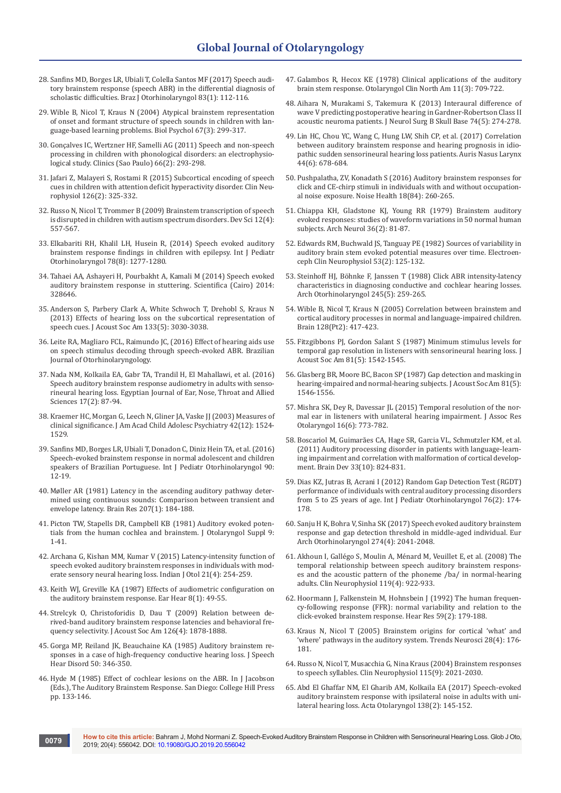- 28. [Sanfins MD, Borges LR, Ubiali T, Colella Santos MF \(2017\) Speech audi](https://www.ncbi.nlm.nih.gov/pubmed/26631329)[tory brainstem response \(speech ABR\) in the differential diagnosis of](https://www.ncbi.nlm.nih.gov/pubmed/26631329)  [scholastic difficulties. Braz J Otorhinolaryngol 83\(1\): 112-116.](https://www.ncbi.nlm.nih.gov/pubmed/26631329)
- 29. [Wible B, Nicol T, Kraus N \(2004\) Atypical brainstem representation](https://www.ncbi.nlm.nih.gov/pubmed/15294388)  [of onset and formant structure of speech sounds in children with lan](https://www.ncbi.nlm.nih.gov/pubmed/15294388)[guage-based learning problems. Biol Psychol 67\(3\): 299-317.](https://www.ncbi.nlm.nih.gov/pubmed/15294388)
- 30. [Gonçalves IC, Wertzner HF, Samelli AG \(2011\) Speech and non-speech](http://www.scielo.br/scielo.php?script=sci_arttext&pid=S1807-59322011000200019)  [processing in children with phonological disorders: an electrophysio](http://www.scielo.br/scielo.php?script=sci_arttext&pid=S1807-59322011000200019)[logical study. Clinics \(Sao Paulo\) 66\(2\): 293-298.](http://www.scielo.br/scielo.php?script=sci_arttext&pid=S1807-59322011000200019)
- 31. [Jafari Z, Malayeri S, Rostami R \(2015\) Subcortical encoding of speech](https://www.sciencedirect.com/science/article/abs/pii/S1388245714003186)  [cues in children with attention deficit hyperactivity disorder. Clin Neu](https://www.sciencedirect.com/science/article/abs/pii/S1388245714003186)[rophysiol 126\(2\): 325-332.](https://www.sciencedirect.com/science/article/abs/pii/S1388245714003186)
- 32. [Russo N, Nicol T, Trommer B \(2009\) Brainstem transcription of speech](https://www.ncbi.nlm.nih.gov/pubmed/19635083)  [is disrupted in children with autism spectrum disorders. Dev Sci 12\(4\):](https://www.ncbi.nlm.nih.gov/pubmed/19635083)  [557-567.](https://www.ncbi.nlm.nih.gov/pubmed/19635083)
- 33. [Elkabariti RH, Khalil LH, Husein R, \(2014\) Speech evoked auditory](https://www.ncbi.nlm.nih.gov/pubmed/24890007)  [brainstem response findings in children with epilepsy. Int J Pediatr](https://www.ncbi.nlm.nih.gov/pubmed/24890007)  [Otorhinolaryngol 78\(8\): 1277-1280.](https://www.ncbi.nlm.nih.gov/pubmed/24890007)
- 34. [Tahaei AA, Ashayeri H, Pourbakht A, Kamali M \(2014\) Speech evoked](https://www.ncbi.nlm.nih.gov/pubmed/25215262)  [auditory brainstem response in stuttering. Scientifica \(Cairo\) 2014:](https://www.ncbi.nlm.nih.gov/pubmed/25215262)  [328646.](https://www.ncbi.nlm.nih.gov/pubmed/25215262)
- 35. [Anderson S, Parbery Clark A, White Schwoch T, Drehobl S, Kraus N](https://www.ncbi.nlm.nih.gov/pubmed/23654406)  [\(2013\) Effects of hearing loss on the subcortical representation of](https://www.ncbi.nlm.nih.gov/pubmed/23654406)  [speech cues. J Acoust Soc Am 133\(5\): 3030-3038.](https://www.ncbi.nlm.nih.gov/pubmed/23654406)
- 36. Leite RA, Magliaro FCL, Raimundo JC, (2016) Effect of hearing aids use on speech stimulus decoding through speech-evoked ABR. Brazilian Journal of Otorhinolaryngology.
- 37. [Nada NM, Kolkaila EA, Gabr TA, Trandil H, El Mahallawi, et al. \(2016\)](https://www.sciencedirect.com/science/article/pii/S2090074016300020)  [Speech auditory brainstem response audiometry in adults with senso](https://www.sciencedirect.com/science/article/pii/S2090074016300020)[rineural hearing loss. Egyptian Journal of Ear, Nose, Throat and Allied](https://www.sciencedirect.com/science/article/pii/S2090074016300020)  [Sciences 17\(2\): 87-94.](https://www.sciencedirect.com/science/article/pii/S2090074016300020)
- 38. [Kraemer HC, Morgan G, Leech N, Gliner JA, Vaske JJ \(2003\) Measures of](https://www.ncbi.nlm.nih.gov/pubmed/14627890)  [clinical significance. J Am Acad Child Adolesc Psychiatry 42\(12\): 1524-](https://www.ncbi.nlm.nih.gov/pubmed/14627890) [1529.](https://www.ncbi.nlm.nih.gov/pubmed/14627890)
- 39. [Sanfins MD, Borges LR, Ubiali T, Donadon C, Diniz Hein TA, et al. \(2016\)](https://www.ncbi.nlm.nih.gov/pubmed/27729117)  [Speech-evoked brainstem response in normal adolescent and children](https://www.ncbi.nlm.nih.gov/pubmed/27729117)  [speakers of Brazilian Portuguese. Int J Pediatr Otorhinolaryngol 90:](https://www.ncbi.nlm.nih.gov/pubmed/27729117)  [12-19.](https://www.ncbi.nlm.nih.gov/pubmed/27729117)
- 40. [Møller AR \(1981\) Latency in the ascending auditory pathway deter](https://www.ncbi.nlm.nih.gov/pubmed/6258729)[mined using continuous sounds: Comparison between transient and](https://www.ncbi.nlm.nih.gov/pubmed/6258729)  [envelope latency. Brain Res 207\(1\): 184-188.](https://www.ncbi.nlm.nih.gov/pubmed/6258729)
- 41. [Picton TW, Stapells DR, Campbell KB \(1981\) Auditory evoked poten](https://www.ncbi.nlm.nih.gov/pubmed/7026799)[tials from the human cochlea and brainstem. J Otolaryngol Suppl 9:](https://www.ncbi.nlm.nih.gov/pubmed/7026799)  [1-41.](https://www.ncbi.nlm.nih.gov/pubmed/7026799)
- 42. [Archana G, Kishan MM, Kumar V \(2015\) Latency-intensity function of](http://www.indianjotol.org/article.asp?issn=0971-7749;year=2015;volume=21;issue=4;spage=254;epage=259;aulast=Archana)  [speech evoked auditory brainstem responses in individuals with mod](http://www.indianjotol.org/article.asp?issn=0971-7749;year=2015;volume=21;issue=4;spage=254;epage=259;aulast=Archana)[erate sensory neural hearing loss. Indian J Otol 21\(4\): 254-259.](http://www.indianjotol.org/article.asp?issn=0971-7749;year=2015;volume=21;issue=4;spage=254;epage=259;aulast=Archana)
- 43. [Keith WJ, Greville KA \(1987\) Effects of audiometric configuration on](https://www.ncbi.nlm.nih.gov/pubmed/3556811)  [the auditory brainstem response. Ear Hear 8\(1\): 49-55.](https://www.ncbi.nlm.nih.gov/pubmed/3556811)
- 44. [Strelcyk O, Christoforidis D, Dau T \(2009\) Relation between de](https://www.ncbi.nlm.nih.gov/pubmed/19813802)[rived-band auditory brainstem response latencies and behavioral fre](https://www.ncbi.nlm.nih.gov/pubmed/19813802)[quency selectivity. J Acoust Soc Am 126\(4\): 1878-1888.](https://www.ncbi.nlm.nih.gov/pubmed/19813802)
- 45. Gorga MP, Reiland JK, Beauchaine KA (1985) Auditory brainstem responses in a case of high-frequency conductive hearing loss. J Speech Hear Disord 50: 346-350.
- 46. Hyde M (1985) Effect of cochlear lesions on the ABR. In J Jacobson (Eds.), The Auditory Brainstem Response. San Diego: College Hill Press pp. 133-146.
- 47. [Galambos R, Hecox KE \(1978\) Clinical applications of the auditory](https://www.ncbi.nlm.nih.gov/pubmed/733255)  [brain stem response. Otolaryngol Clin North Am 11\(3\): 709-722.](https://www.ncbi.nlm.nih.gov/pubmed/733255)
- 48. Aihara N, Murakami S, Takemura K (2013) Interaural difference of wave V predicting postoperative hearing in Gardner-Robertson Class II acoustic neuroma patients. J Neurol Surg B Skull Base 74(5): 274-278.
- 49. [Lin HC, Chou YC, Wang C, Hung LW, Shih CP, et al. \(2017\) Correlation](https://www.ncbi.nlm.nih.gov/pubmed/28159388)  [between auditory brainstem response and hearing prognosis in idio](https://www.ncbi.nlm.nih.gov/pubmed/28159388)[pathic sudden sensorineural hearing loss patients. Auris Nasus Larynx](https://www.ncbi.nlm.nih.gov/pubmed/28159388)  [44\(6\): 678-684.](https://www.ncbi.nlm.nih.gov/pubmed/28159388)
- 50. [Pushpalatha, ZV, Konadath S \(2016\) Auditory brainstem responses for](https://www.ncbi.nlm.nih.gov/pubmed/27762255)  [click and CE-chirp stimuli in individuals with and without occupation](https://www.ncbi.nlm.nih.gov/pubmed/27762255)[al noise exposure. Noise Health 18\(84\): 260-265.](https://www.ncbi.nlm.nih.gov/pubmed/27762255)
- 51. [Chiappa KH, Gladstone KJ, Young RR \(1979\) Brainstem auditory](https://www.ncbi.nlm.nih.gov/pubmed/420627)  [evoked responses: studies of waveform variations in 50 normal human](https://www.ncbi.nlm.nih.gov/pubmed/420627)  [subjects. Arch Neurol 36\(2\): 81-87.](https://www.ncbi.nlm.nih.gov/pubmed/420627)
- 52. [Edwards RM, Buchwald JS, Tanguay PE \(1982\) Sources of variability in](https://www.sciencedirect.com/science/article/abs/pii/0013469482900189)  [auditory brain stem evoked potential measures over time. Electroen](https://www.sciencedirect.com/science/article/abs/pii/0013469482900189)[ceph Clin Neurophysiol 53\(2\): 125-132.](https://www.sciencedirect.com/science/article/abs/pii/0013469482900189)
- 53. [Steinhoff HJ, Böhnke F, Janssen T \(1988\) Click ABR intensity-latency](https://link.springer.com/article/10.1007/BF00464627)  [characteristics in diagnosing conductive and cochlear hearing losses.](https://link.springer.com/article/10.1007/BF00464627)  [Arch Otorhinolaryngol 245\(5\): 259-265.](https://link.springer.com/article/10.1007/BF00464627)
- 54. [Wible B, Nicol T, Kraus N \(2005\) Correlation between brainstem and](https://www.ncbi.nlm.nih.gov/pubmed/15634732)  [cortical auditory processes in normal and language-impaired children.](https://www.ncbi.nlm.nih.gov/pubmed/15634732)  [Brain 128\(Pt2\): 417-423.](https://www.ncbi.nlm.nih.gov/pubmed/15634732)
- 55. [Fitzgibbons PJ, Gordon Salant S \(1987\) Minimum stimulus levels for](https://www.ncbi.nlm.nih.gov/pubmed/3584691)  [temporal gap resolution in listeners with sensorineural hearing loss. J](https://www.ncbi.nlm.nih.gov/pubmed/3584691)  [Acoust Soc Am 81\(5\): 1542-1545.](https://www.ncbi.nlm.nih.gov/pubmed/3584691)
- 56. [Glasberg BR, Moore BC, Bacon SP \(1987\) Gap detection and masking in](https://www.ncbi.nlm.nih.gov/pubmed/3584692)  [hearing-impaired and normal-hearing subjects. J Acoust Soc Am 81\(5\):](https://www.ncbi.nlm.nih.gov/pubmed/3584692)  [1546-1556.](https://www.ncbi.nlm.nih.gov/pubmed/3584692)
- 57. [Mishra SK, Dey R, Davessar JL \(2015\) Temporal resolution of the nor](https://www.ncbi.nlm.nih.gov/pubmed/26197871)[mal ear in listeners with unilateral hearing impairment. J Assoc Res](https://www.ncbi.nlm.nih.gov/pubmed/26197871)  [Otolaryngol 16\(6\): 773-782.](https://www.ncbi.nlm.nih.gov/pubmed/26197871)
- 58. [Boscariol M, Guimarães CA, Hage SR, Garcia VL, Schmutzler KM, et al.](https://www.ncbi.nlm.nih.gov/pubmed/21216548)  [\(2011\) Auditory processing disorder in patients with language-learn](https://www.ncbi.nlm.nih.gov/pubmed/21216548)[ing impairment and correlation with malformation of cortical develop](https://www.ncbi.nlm.nih.gov/pubmed/21216548)[ment. Brain Dev 33\(10\): 824-831.](https://www.ncbi.nlm.nih.gov/pubmed/21216548)
- 59. [Dias KZ, Jutras B, Acrani I \(2012\) Random Gap Detection Test \(RGDT\)](https://www.ncbi.nlm.nih.gov/pubmed/22192900)  [performance of individuals with central auditory processing disorders](https://www.ncbi.nlm.nih.gov/pubmed/22192900)  [from 5 to 25 years of age. Int J Pediatr Otorhinolaryngol 76\(2\): 174-](https://www.ncbi.nlm.nih.gov/pubmed/22192900) [178.](https://www.ncbi.nlm.nih.gov/pubmed/22192900)
- 60. [Sanju H K, Bohra V, Sinha SK \(2017\) Speech evoked auditory brainstem](https://www.ncbi.nlm.nih.gov/pubmed/27885514)  [response and gap detection threshold in middle-aged individual. Eur](https://www.ncbi.nlm.nih.gov/pubmed/27885514)  [Arch Otorhinolaryngol 274\(4\): 2041-2048.](https://www.ncbi.nlm.nih.gov/pubmed/27885514)
- 61. [Akhoun I, Gallégo S, Moulin A, Ménard M, Veuillet E, et al. \(2008\) The](file://C:\Users\JP\Desktop\5.Akhoun%20I,%20Gallégo%20S,%20Moulin%20A,%20Ménard%20M,%20Veuillet%20E,%20et%20al.%20(2008)%20The%20temporal%20relationship%20between%20speech%20auditory%20brainstem%20responses%20and%20the%20acoustic%20pattern%20of%20the%20phoneme%20\ba\%20in%20normal-hearing%20adults.%20Clin%20Neurophysiol%20119(4):%20922-933.)  [temporal relationship between speech auditory brainstem respons](file://C:\Users\JP\Desktop\5.Akhoun%20I,%20Gallégo%20S,%20Moulin%20A,%20Ménard%20M,%20Veuillet%20E,%20et%20al.%20(2008)%20The%20temporal%20relationship%20between%20speech%20auditory%20brainstem%20responses%20and%20the%20acoustic%20pattern%20of%20the%20phoneme%20\ba\%20in%20normal-hearing%20adults.%20Clin%20Neurophysiol%20119(4):%20922-933.)[es and the acoustic pattern of the phoneme /ba/ in normal-hearing](file://C:\Users\JP\Desktop\5.Akhoun%20I,%20Gallégo%20S,%20Moulin%20A,%20Ménard%20M,%20Veuillet%20E,%20et%20al.%20(2008)%20The%20temporal%20relationship%20between%20speech%20auditory%20brainstem%20responses%20and%20the%20acoustic%20pattern%20of%20the%20phoneme%20\ba\%20in%20normal-hearing%20adults.%20Clin%20Neurophysiol%20119(4):%20922-933.)  [adults. Clin Neurophysiol 119\(4\): 922-933.](file://C:\Users\JP\Desktop\5.Akhoun%20I,%20Gallégo%20S,%20Moulin%20A,%20Ménard%20M,%20Veuillet%20E,%20et%20al.%20(2008)%20The%20temporal%20relationship%20between%20speech%20auditory%20brainstem%20responses%20and%20the%20acoustic%20pattern%20of%20the%20phoneme%20\ba\%20in%20normal-hearing%20adults.%20Clin%20Neurophysiol%20119(4):%20922-933.)
- 62. [Hoormann J, Falkenstein M, Hohnsbein J \(1992\) The human frequen](https://www.ncbi.nlm.nih.gov/pubmed/1618709)[cy-following response \(FFR\): normal variability and relation to the](https://www.ncbi.nlm.nih.gov/pubmed/1618709)  [click-evoked brainstem response. Hear Res 59\(2\): 179-188.](https://www.ncbi.nlm.nih.gov/pubmed/1618709)
- 63. [Kraus N, Nicol T \(2005\) Brainstem origins for cortical 'what' and](https://www.ncbi.nlm.nih.gov/pubmed/15808351)  ['where' pathways in the auditory system. Trends Neurosci 28\(4\): 176-](https://www.ncbi.nlm.nih.gov/pubmed/15808351) [181.](https://www.ncbi.nlm.nih.gov/pubmed/15808351)
- 64. [Russo N, Nicol T, Musacchia G, Nina Kraus \(2004\) Brainstem responses](https://www.ncbi.nlm.nih.gov/pmc/articles/PMC2529166/)  [to speech syllables. Clin Neurophysiol 115\(9\): 2021-2030.](https://www.ncbi.nlm.nih.gov/pmc/articles/PMC2529166/)
- 65. [Abd El Ghaffar NM, El Gharib AM, Kolkaila EA \(2017\) Speech-evoked](https://www.ncbi.nlm.nih.gov/pubmed/29022419)  [auditory brainstem response with ipsilateral noise in adults with uni](https://www.ncbi.nlm.nih.gov/pubmed/29022419)[lateral hearing loss. Acta Otolaryngol 138\(2\): 145-152.](https://www.ncbi.nlm.nih.gov/pubmed/29022419)